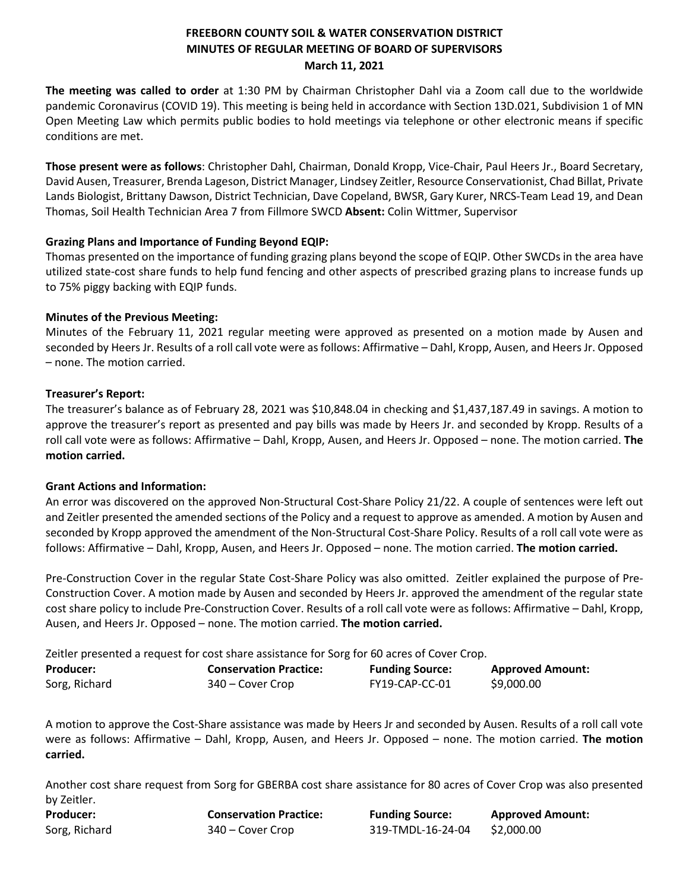# **FREEBORN COUNTY SOIL & WATER CONSERVATION DISTRICT MINUTES OF REGULAR MEETING OF BOARD OF SUPERVISORS March 11, 2021**

**The meeting was called to order** at 1:30 PM by Chairman Christopher Dahl via a Zoom call due to the worldwide pandemic Coronavirus (COVID 19). This meeting is being held in accordance with Section 13D.021, Subdivision 1 of MN Open Meeting Law which permits public bodies to hold meetings via telephone or other electronic means if specific conditions are met.

**Those present were as follows**: Christopher Dahl, Chairman, Donald Kropp, Vice-Chair, Paul Heers Jr., Board Secretary, David Ausen, Treasurer, Brenda Lageson, District Manager, Lindsey Zeitler, Resource Conservationist, Chad Billat, Private Lands Biologist, Brittany Dawson, District Technician, Dave Copeland, BWSR, Gary Kurer, NRCS-Team Lead 19, and Dean Thomas, Soil Health Technician Area 7 from Fillmore SWCD **Absent:** Colin Wittmer, Supervisor

## **Grazing Plans and Importance of Funding Beyond EQIP:**

Thomas presented on the importance of funding grazing plans beyond the scope of EQIP. Other SWCDs in the area have utilized state-cost share funds to help fund fencing and other aspects of prescribed grazing plans to increase funds up to 75% piggy backing with EQIP funds.

## **Minutes of the Previous Meeting:**

Minutes of the February 11, 2021 regular meeting were approved as presented on a motion made by Ausen and seconded by Heers Jr. Results of a roll call vote were asfollows: Affirmative – Dahl, Kropp, Ausen, and Heers Jr. Opposed – none. The motion carried.

## **Treasurer's Report:**

The treasurer's balance as of February 28, 2021 was \$10,848.04 in checking and \$1,437,187.49 in savings. A motion to approve the treasurer's report as presented and pay bills was made by Heers Jr. and seconded by Kropp. Results of a roll call vote were as follows: Affirmative – Dahl, Kropp, Ausen, and Heers Jr. Opposed – none. The motion carried. **The motion carried.**

## **Grant Actions and Information:**

An error was discovered on the approved Non-Structural Cost-Share Policy 21/22. A couple of sentences were left out and Zeitler presented the amended sections of the Policy and a request to approve as amended. A motion by Ausen and seconded by Kropp approved the amendment of the Non-Structural Cost-Share Policy. Results of a roll call vote were as follows: Affirmative – Dahl, Kropp, Ausen, and Heers Jr. Opposed – none. The motion carried. **The motion carried.**

Pre-Construction Cover in the regular State Cost-Share Policy was also omitted. Zeitler explained the purpose of Pre-Construction Cover. A motion made by Ausen and seconded by Heers Jr. approved the amendment of the regular state cost share policy to include Pre-Construction Cover. Results of a roll call vote were as follows: Affirmative – Dahl, Kropp, Ausen, and Heers Jr. Opposed – none. The motion carried. **The motion carried.**

Zeitler presented a request for cost share assistance for Sorg for 60 acres of Cover Crop.

| <b>Producer:</b> | <b>Conservation Practice:</b> | <b>Funding Source:</b> | <b>Approved Amount:</b> |
|------------------|-------------------------------|------------------------|-------------------------|
| Sorg, Richard    | 340 – Cover Crop              | FY19-CAP-CC-01         | \$9,000.00              |

A motion to approve the Cost-Share assistance was made by Heers Jr and seconded by Ausen. Results of a roll call vote were as follows: Affirmative – Dahl, Kropp, Ausen, and Heers Jr. Opposed – none. The motion carried. **The motion carried.**

Another cost share request from Sorg for GBERBA cost share assistance for 80 acres of Cover Crop was also presented by Zeitler.

| Producer:     | <b>Conservation Practice:</b> | <b>Funding Source:</b> | <b>Approved Amount:</b> |
|---------------|-------------------------------|------------------------|-------------------------|
| Sorg, Richard | 340 – Cover Crop              | 319-TMDL-16-24-04      | \$2,000.00              |